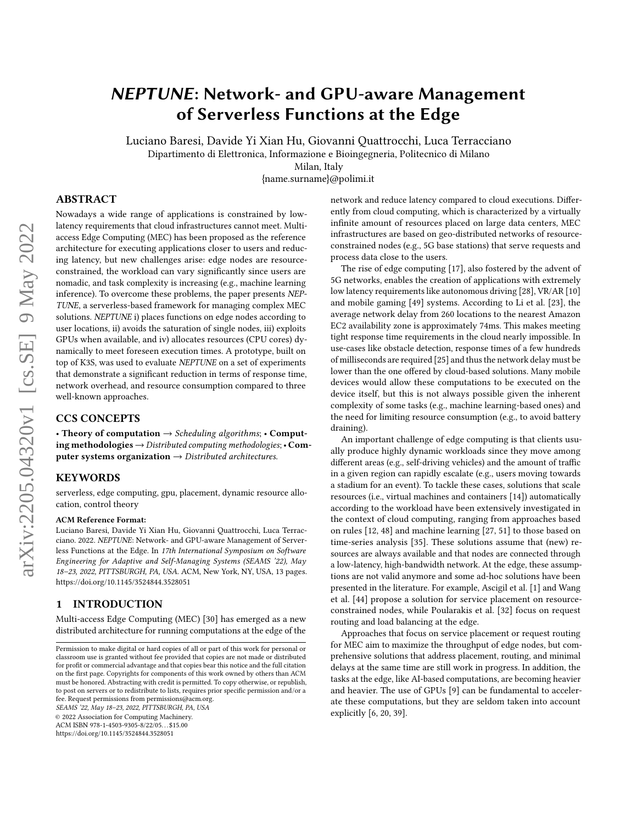# NEPTUNE: Network- and GPU-aware Management of Serverless Functions at the Edge

Luciano Baresi, Davide Yi Xian Hu, Giovanni Quattrocchi, Luca Terracciano

Dipartimento di Elettronica, Informazione e Bioingegneria, Politecnico di Milano

Milan, Italy

{name.surname}@polimi.it

# ABSTRACT

Nowadays a wide range of applications is constrained by lowlatency requirements that cloud infrastructures cannot meet. Multiaccess Edge Computing (MEC) has been proposed as the reference architecture for executing applications closer to users and reducing latency, but new challenges arise: edge nodes are resourceconstrained, the workload can vary significantly since users are nomadic, and task complexity is increasing (e.g., machine learning inference). To overcome these problems, the paper presents NEP-TUNE, a serverless-based framework for managing complex MEC solutions. NEPTUNE i) places functions on edge nodes according to user locations, ii) avoids the saturation of single nodes, iii) exploits GPUs when available, and iv) allocates resources (CPU cores) dynamically to meet foreseen execution times. A prototype, built on top of K3S, was used to evaluate NEPTUNE on a set of experiments that demonstrate a significant reduction in terms of response time, network overhead, and resource consumption compared to three well-known approaches.

### CCS CONCEPTS

• Theory of computation  $\rightarrow$  Scheduling algorithms; • Computing methodologies  $\rightarrow$  Distributed computing methodologies; • Computer systems organization  $\rightarrow$  Distributed architectures.

## **KEYWORDS**

serverless, edge computing, gpu, placement, dynamic resource allocation, control theory

#### ACM Reference Format:

Luciano Baresi, Davide Yi Xian Hu, Giovanni Quattrocchi, Luca Terracciano. 2022. NEPTUNE: Network- and GPU-aware Management of Serverless Functions at the Edge. In 17th International Symposium on Software Engineering for Adaptive and Self-Managing Systems (SEAMS '22), May 18–23, 2022, PITTSBURGH, PA, USA. ACM, New York, NY, USA, [13](#page-12-0) pages. <https://doi.org/10.1145/3524844.3528051>

## 1 INTRODUCTION

Multi-access Edge Computing (MEC) [\[30\]](#page-11-0) has emerged as a new distributed architecture for running computations at the edge of the

SEAMS '22, May 18–23, 2022, PITTSBURGH, PA, USA

© 2022 Association for Computing Machinery.

ACM ISBN 978-1-4503-9305-8/22/05. . . \$15.00

<https://doi.org/10.1145/3524844.3528051>

network and reduce latency compared to cloud executions. Differently from cloud computing, which is characterized by a virtually infinite amount of resources placed on large data centers, MEC infrastructures are based on geo-distributed networks of resourceconstrained nodes (e.g., 5G base stations) that serve requests and process data close to the users.

The rise of edge computing [\[17\]](#page-11-1), also fostered by the advent of 5G networks, enables the creation of applications with extremely low latency requirements like autonomous driving [\[28\]](#page-11-2), VR/AR [\[10\]](#page-11-3) and mobile gaming [\[49\]](#page-12-1) systems. According to Li et al. [\[23\]](#page-11-4), the average network delay from 260 locations to the nearest Amazon EC2 availability zone is approximately 74ms. This makes meeting tight response time requirements in the cloud nearly impossible. In use-cases like obstacle detection, response times of a few hundreds of milliseconds are required [\[25\]](#page-11-5) and thus the network delay must be lower than the one offered by cloud-based solutions. Many mobile devices would allow these computations to be executed on the device itself, but this is not always possible given the inherent complexity of some tasks (e.g., machine learning-based ones) and the need for limiting resource consumption (e.g., to avoid battery draining).

An important challenge of edge computing is that clients usually produce highly dynamic workloads since they move among different areas (e.g., self-driving vehicles) and the amount of traffic in a given region can rapidly escalate (e.g., users moving towards a stadium for an event). To tackle these cases, solutions that scale resources (i.e., virtual machines and containers [\[14\]](#page-11-6)) automatically according to the workload have been extensively investigated in the context of cloud computing, ranging from approaches based on rules [\[12,](#page-11-7) [48\]](#page-11-8) and machine learning [\[27,](#page-11-9) [51\]](#page-12-2) to those based on time-series analysis [\[35\]](#page-11-10). These solutions assume that (new) resources are always available and that nodes are connected through a low-latency, high-bandwidth network. At the edge, these assumptions are not valid anymore and some ad-hoc solutions have been presented in the literature. For example, Ascigil et al. [\[1\]](#page-10-0) and Wang et al. [\[44\]](#page-11-11) propose a solution for service placement on resourceconstrained nodes, while Poularakis et al. [\[32\]](#page-11-12) focus on request routing and load balancing at the edge.

Approaches that focus on service placement or request routing for MEC aim to maximize the throughput of edge nodes, but comprehensive solutions that address placement, routing, and minimal delays at the same time are still work in progress. In addition, the tasks at the edge, like AI-based computations, are becoming heavier and heavier. The use of GPUs [\[9\]](#page-11-13) can be fundamental to accelerate these computations, but they are seldom taken into account explicitly [\[6,](#page-11-14) [20,](#page-11-15) [39\]](#page-11-16).

Permission to make digital or hard copies of all or part of this work for personal or classroom use is granted without fee provided that copies are not made or distributed for profit or commercial advantage and that copies bear this notice and the full citation on the first page. Copyrights for components of this work owned by others than ACM must be honored. Abstracting with credit is permitted. To copy otherwise, or republish, to post on servers or to redistribute to lists, requires prior specific permission and/or a fee. Request permissions from permissions@acm.org.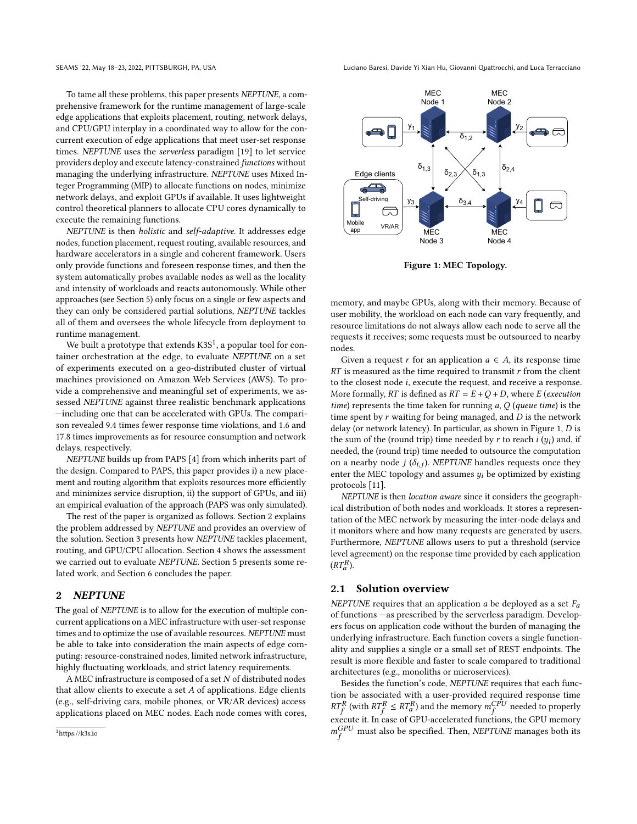SEAMS '22, May 18–23, 2022, PITTSBURGH, PA, USA Luciano Baresi, Davide Yi Xian Hu, Giovanni Quattrocchi, and Luca Terracciano

To tame all these problems, this paper presents NEPTUNE, a comprehensive framework for the runtime management of large-scale edge applications that exploits placement, routing, network delays, and CPU/GPU interplay in a coordinated way to allow for the concurrent execution of edge applications that meet user-set response times. NEPTUNE uses the serverless paradigm [\[19\]](#page-11-17) to let service providers deploy and execute latency-constrained functions without managing the underlying infrastructure. NEPTUNE uses Mixed Integer Programming (MIP) to allocate functions on nodes, minimize network delays, and exploit GPUs if available. It uses lightweight control theoretical planners to allocate CPU cores dynamically to execute the remaining functions.

NEPTUNE is then holistic and self-adaptive. It addresses edge nodes, function placement, request routing, available resources, and hardware accelerators in a single and coherent framework. Users only provide functions and foreseen response times, and then the system automatically probes available nodes as well as the locality and intensity of workloads and reacts autonomously. While other approaches (see Section [5\)](#page-9-0) only focus on a single or few aspects and they can only be considered partial solutions, NEPTUNE tackles all of them and oversees the whole lifecycle from deployment to runtime management.

We built a prototype that extends  $K3S^1$  $K3S^1$ , a popular tool for container orchestration at the edge, to evaluate NEPTUNE on a set of experiments executed on a geo-distributed cluster of virtual machines provisioned on Amazon Web Services (AWS). To provide a comprehensive and meaningful set of experiments, we assessed NEPTUNE against three realistic benchmark applications —including one that can be accelerated with GPUs. The comparison revealed 9.4 times fewer response time violations, and 1.6 and 17.8 times improvements as for resource consumption and network delays, respectively.

NEPTUNE builds up from PAPS [\[4\]](#page-10-1) from which inherits part of the design. Compared to PAPS, this paper provides i) a new placement and routing algorithm that exploits resources more efficiently and minimizes service disruption, ii) the support of GPUs, and iii) an empirical evaluation of the approach (PAPS was only simulated).

The rest of the paper is organized as follows. Section [2](#page-1-1) explains the problem addressed by NEPTUNE and provides an overview of the solution. Section [3](#page-3-0) presents how NEPTUNE tackles placement, routing, and GPU/CPU allocation. Section [4](#page-5-0) shows the assessment we carried out to evaluate NEPTUNE. Section [5](#page-9-0) presents some related work, and Section [6](#page-10-2) concludes the paper.

#### <span id="page-1-1"></span>2 NEPTUNE

The goal of NEPTUNE is to allow for the execution of multiple concurrent applications on a MEC infrastructure with user-set response times and to optimize the use of available resources. NEPTUNE must be able to take into consideration the main aspects of edge computing: resource-constrained nodes, limited network infrastructure, highly fluctuating workloads, and strict latency requirements.

A MEC infrastructure is composed of a set  $N$  of distributed nodes that allow clients to execute a set  $A$  of applications. Edge clients (e.g., self-driving cars, mobile phones, or VR/AR devices) access applications placed on MEC nodes. Each node comes with cores,

<span id="page-1-2"></span>

Figure 1: MEC Topology.

memory, and maybe GPUs, along with their memory. Because of user mobility, the workload on each node can vary frequently, and resource limitations do not always allow each node to serve all the requests it receives; some requests must be outsourced to nearby nodes.

Given a request r for an application  $a \in A$ , its response time  $RT$  is measured as the time required to transmit  $r$  from the client to the closest node  $i$ , execute the request, and receive a response. More formally, RT is defined as  $RT = E + Q + D$ , where E (execution time) represents the time taken for running  $a, Q$  (queue time) is the time spent by  $r$  waiting for being managed, and  $D$  is the network delay (or network latency). In particular, as shown in Figure [1,](#page-1-2)  $D$  is the sum of the (round trip) time needed by r to reach  $i(y_i)$  and, if needed, the (round trip) time needed to outsource the computation on a nearby node  $j(\delta_{i,j})$ . NEPTUNE handles requests once they enter the MEC topology and assumes  $y_i$  be optimized by existing protocols [\[11\]](#page-11-18).

NEPTUNE is then location aware since it considers the geographical distribution of both nodes and workloads. It stores a representation of the MEC network by measuring the inter-node delays and it monitors where and how many requests are generated by users. Furthermore, NEPTUNE allows users to put a threshold (service level agreement) on the response time provided by each application  $(RT_a^R)$ .

#### 2.1 Solution overview

NEPTUNE requires that an application  $a$  be deployed as a set  $F_a$ of functions —as prescribed by the serverless paradigm. Developers focus on application code without the burden of managing the underlying infrastructure. Each function covers a single functionality and supplies a single or a small set of REST endpoints. The result is more flexible and faster to scale compared to traditional architectures (e.g., monoliths or microservices).

Besides the function's code, NEPTUNE requires that each function be associated with a user-provided required response time  $RT_f^R$  (with  $RT_f^R \leq RT_a^R$ ) and the memory  $m_f^{CPU}$  needed to properly execute it. In case of GPU-accelerated functions, the GPU memory  $m_f^{GPU}$  must also be specified. Then, NEPTUNE manages both its

<span id="page-1-0"></span><sup>1</sup>https://k3s.io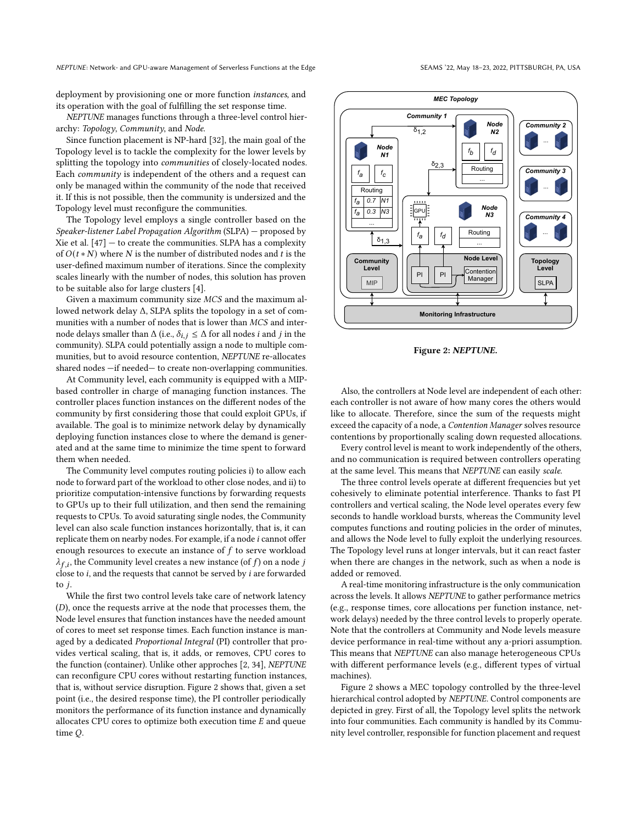deployment by provisioning one or more function instances, and its operation with the goal of fulfilling the set response time.

NEPTUNE manages functions through a three-level control hierarchy: Topology, Community, and Node.

Since function placement is NP-hard [\[32\]](#page-11-12), the main goal of the Topology level is to tackle the complexity for the lower levels by splitting the topology into communities of closely-located nodes. Each community is independent of the others and a request can only be managed within the community of the node that received it. If this is not possible, then the community is undersized and the Topology level must reconfigure the communities.

The Topology level employs a single controller based on the Speaker-listener Label Propagation Algorithm (SLPA) — proposed by Xie et al.  $[47]$  – to create the communities. SLPA has a complexity of  $O(t*N)$  where  $N$  is the number of distributed nodes and  $t$  is the user-defined maximum number of iterations. Since the complexity scales linearly with the number of nodes, this solution has proven to be suitable also for large clusters [\[4\]](#page-10-1).

Given a maximum community size  $MCS$  and the maximum allowed network delay Δ, SLPA splits the topology in a set of communities with a number of nodes that is lower than MCS and internode delays smaller than  $\Delta$  (i.e.,  $\delta_{i,j} \leq \Delta$  for all nodes *i* and *j* in the community). SLPA could potentially assign a node to multiple communities, but to avoid resource contention, NEPTUNE re-allocates shared nodes —if needed— to create non-overlapping communities.

At Community level, each community is equipped with a MIPbased controller in charge of managing function instances. The controller places function instances on the different nodes of the community by first considering those that could exploit GPUs, if available. The goal is to minimize network delay by dynamically deploying function instances close to where the demand is generated and at the same time to minimize the time spent to forward them when needed.

The Community level computes routing policies i) to allow each node to forward part of the workload to other close nodes, and ii) to prioritize computation-intensive functions by forwarding requests to GPUs up to their full utilization, and then send the remaining requests to CPUs. To avoid saturating single nodes, the Community level can also scale function instances horizontally, that is, it can replicate them on nearby nodes. For example, if a node  $i$  cannot offer enough resources to execute an instance of  $f$  to serve workload  $\lambda_{f,i}$ , the Community level creates a new instance (of f) on a node j close to  $i$ , and the requests that cannot be served by  $i$  are forwarded to  $i$ .

While the first two control levels take care of network latency  $(D)$ , once the requests arrive at the node that processes them, the Node level ensures that function instances have the needed amount of cores to meet set response times. Each function instance is managed by a dedicated Proportional Integral (PI) controller that provides vertical scaling, that is, it adds, or removes, CPU cores to the function (container). Unlike other approches [\[2,](#page-10-3) [34\]](#page-11-20), NEPTUNE can reconfigure CPU cores without restarting function instances, that is, without service disruption. Figure [2](#page-2-0) shows that, given a set point (i.e., the desired response time), the PI controller periodically monitors the performance of its function instance and dynamically allocates CPU cores to optimize both execution time  $E$  and queue time Q.



<span id="page-2-0"></span>

Figure 2: NEPTUNE.

Also, the controllers at Node level are independent of each other: each controller is not aware of how many cores the others would like to allocate. Therefore, since the sum of the requests might exceed the capacity of a node, a Contention Manager solves resource contentions by proportionally scaling down requested allocations.

Every control level is meant to work independently of the others, and no communication is required between controllers operating at the same level. This means that NEPTUNE can easily scale.

The three control levels operate at different frequencies but yet cohesively to eliminate potential interference. Thanks to fast PI controllers and vertical scaling, the Node level operates every few seconds to handle workload bursts, whereas the Community level computes functions and routing policies in the order of minutes, and allows the Node level to fully exploit the underlying resources. The Topology level runs at longer intervals, but it can react faster when there are changes in the network, such as when a node is added or removed.

A real-time monitoring infrastructure is the only communication across the levels. It allows NEPTUNE to gather performance metrics (e.g., response times, core allocations per function instance, network delays) needed by the three control levels to properly operate. Note that the controllers at Community and Node levels measure device performance in real-time without any a-priori assumption. This means that NEPTUNE can also manage heterogeneous CPUs with different performance levels (e.g., different types of virtual machines).

Figure [2](#page-2-0) shows a MEC topology controlled by the three-level hierarchical control adopted by NEPTUNE. Control components are depicted in grey. First of all, the Topology level splits the network into four communities. Each community is handled by its Community level controller, responsible for function placement and request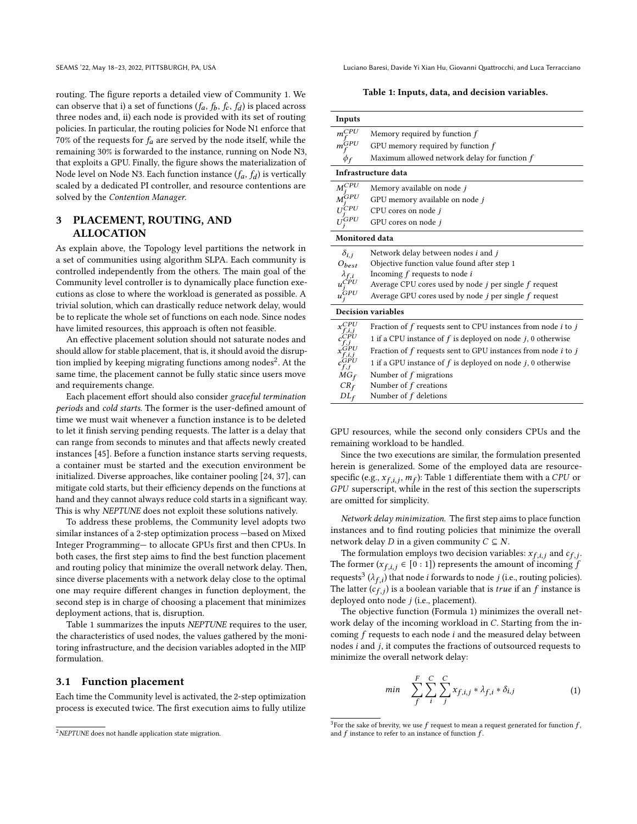routing. The figure reports a detailed view of Community 1. We can observe that i) a set of functions  $(f_a, f_b, f_c, f_d)$  is placed across three nodes and, ii) each node is provided with its set of routing policies. In particular, the routing policies for Node N1 enforce that 70% of the requests for  $f_a$  are served by the node itself, while the remaining 30% is forwarded to the instance, running on Node N3, that exploits a GPU. Finally, the figure shows the materialization of Node level on Node N3. Each function instance  $(f_a, f_d)$  is vertically scaled by a dedicated PI controller, and resource contentions are solved by the Contention Manager.

# <span id="page-3-0"></span>3 PLACEMENT, ROUTING, AND ALLOCATION

As explain above, the Topology level partitions the network in a set of communities using algorithm SLPA. Each community is controlled independently from the others. The main goal of the Community level controller is to dynamically place function executions as close to where the workload is generated as possible. A trivial solution, which can drastically reduce network delay, would be to replicate the whole set of functions on each node. Since nodes have limited resources, this approach is often not feasible.

An effective placement solution should not saturate nodes and should allow for stable placement, that is, it should avoid the disrup-tion implied by keeping migrating functions among nodes<sup>[2](#page-3-1)</sup>. At the same time, the placement cannot be fully static since users move and requirements change.

Each placement effort should also consider graceful termination periods and cold starts. The former is the user-defined amount of time we must wait whenever a function instance is to be deleted to let it finish serving pending requests. The latter is a delay that can range from seconds to minutes and that affects newly created instances [\[45\]](#page-11-21). Before a function instance starts serving requests, a container must be started and the execution environment be initialized. Diverse approaches, like container pooling [\[24,](#page-11-22) [37\]](#page-11-23), can mitigate cold starts, but their efficiency depends on the functions at hand and they cannot always reduce cold starts in a significant way. This is why NEPTUNE does not exploit these solutions natively.

To address these problems, the Community level adopts two similar instances of a 2-step optimization process —based on Mixed Integer Programming— to allocate GPUs first and then CPUs. In both cases, the first step aims to find the best function placement and routing policy that minimize the overall network delay. Then, since diverse placements with a network delay close to the optimal one may require different changes in function deployment, the second step is in charge of choosing a placement that minimizes deployment actions, that is, disruption.

Table [1](#page-3-2) summarizes the inputs NEPTUNE requires to the user, the characteristics of used nodes, the values gathered by the monitoring infrastructure, and the decision variables adopted in the MIP formulation.

#### 3.1 Function placement

Each time the Community level is activated, the 2-step optimization process is executed twice. The first execution aims to fully utilize

SEAMS '22, May 18–23, 2022, PITTSBURGH, PA, USA Luciano Baresi, Davide Yi Xian Hu, Giovanni Quattrocchi, and Luca Terracciano

Table 1: Inputs, data, and decision variables.

<span id="page-3-2"></span>

| Inputs                  |                                                                     |  |  |  |  |  |  |  |  |
|-------------------------|---------------------------------------------------------------------|--|--|--|--|--|--|--|--|
| $m^{CPU}$               | Memory required by function $f$                                     |  |  |  |  |  |  |  |  |
| $m_{e}^{\hat{G}PU}$     | GPU memory required by function $f$                                 |  |  |  |  |  |  |  |  |
| $\phi_f$                | Maximum allowed network delay for function f                        |  |  |  |  |  |  |  |  |
| Infrastructure data     |                                                                     |  |  |  |  |  |  |  |  |
| $M_{\odot}^{CPU}$       | Memory available on node j                                          |  |  |  |  |  |  |  |  |
| $\stackrel{r}{M}^{GPU}$ | GPU memory available on node j                                      |  |  |  |  |  |  |  |  |
| 1 j CPU                 | CPU cores on node j                                                 |  |  |  |  |  |  |  |  |
| $U^{GPU}$               | GPU cores on node j                                                 |  |  |  |  |  |  |  |  |
| <b>Monitored data</b>   |                                                                     |  |  |  |  |  |  |  |  |
| $\delta_{i,i}$          | Network delay between nodes $i$ and $j$                             |  |  |  |  |  |  |  |  |
| $O_{best}$              | Objective function value found after step 1                         |  |  |  |  |  |  |  |  |
|                         | Incoming $f$ requests to node $i$                                   |  |  |  |  |  |  |  |  |
|                         | Average CPU cores used by node $j$ per single $f$ request           |  |  |  |  |  |  |  |  |
| $u^{\prime\!CD}$        | Average GPU cores used by node j per single f request               |  |  |  |  |  |  |  |  |
|                         | <b>Decision variables</b>                                           |  |  |  |  |  |  |  |  |
| $x_c^{CPU}$             | Fraction of $f$ requests sent to CPU instances from node $i$ to $j$ |  |  |  |  |  |  |  |  |
|                         | 1 if a CPU instance of $f$ is deployed on node $j$ , 0 otherwise    |  |  |  |  |  |  |  |  |
|                         | Fraction of $f$ requests sent to GPU instances from node $i$ to $j$ |  |  |  |  |  |  |  |  |
|                         | 1 if a GPU instance of $f$ is deployed on node $j$ , 0 otherwise    |  |  |  |  |  |  |  |  |
| $MG_f$                  | Number of $f$ migrations                                            |  |  |  |  |  |  |  |  |
| $CR_f$                  | Number of $f$ creations                                             |  |  |  |  |  |  |  |  |

GPU resources, while the second only considers CPUs and the remaining workload to be handled.

 $DL<sub>f</sub>$  Number of f deletions

Since the two executions are similar, the formulation presented herein is generalized. Some of the employed data are resourcespecific (e.g.,  $x_{f,i,j}$ ,  $m_f$ ): Table [1](#page-3-2) differentiate them with a CPU or GPU superscript, while in the rest of this section the superscripts are omitted for simplicity.

Network delay minimization. The first step aims to place function instances and to find routing policies that minimize the overall network delay  $D$  in a given community  $C \subseteq N$ .

The formulation employs two decision variables:  $x_{f,i,j}$  and  $c_{f,j}$ . The former ( $x_{f,i,j} \in [0:1]$ ) represents the amount of incoming f requests<sup>[3](#page-3-3)</sup> ( $\lambda_{f,i}$ ) that node *i* forwards to node *j* (i.e., routing policies). The latter  $(c_{f,j})$  is a boolean variable that is *true* if an  $f$  instance is deployed onto node  $j$  (i.e., placement).

The objective function (Formula [1\)](#page-3-4) minimizes the overall network delay of the incoming workload in  $C$ . Starting from the incoming  $f$  requests to each node  $i$  and the measured delay between nodes  $i$  and  $j$ , it computes the fractions of outsourced requests to minimize the overall network delay:

<span id="page-3-4"></span>
$$
min \quad \sum_{f}^{F} \sum_{i}^{C} \sum_{j}^{C} x_{f,i,j} * \lambda_{f,i} * \delta_{i,j} \tag{1}
$$

<span id="page-3-1"></span><sup>&</sup>lt;sup>2</sup>NEPTUNE does not handle application state migration.

<span id="page-3-3"></span> $^3$ For the sake of brevity, we use  $f$  request to mean a request generated for function  $f$  , and  $f$  instance to refer to an instance of function  $f$ .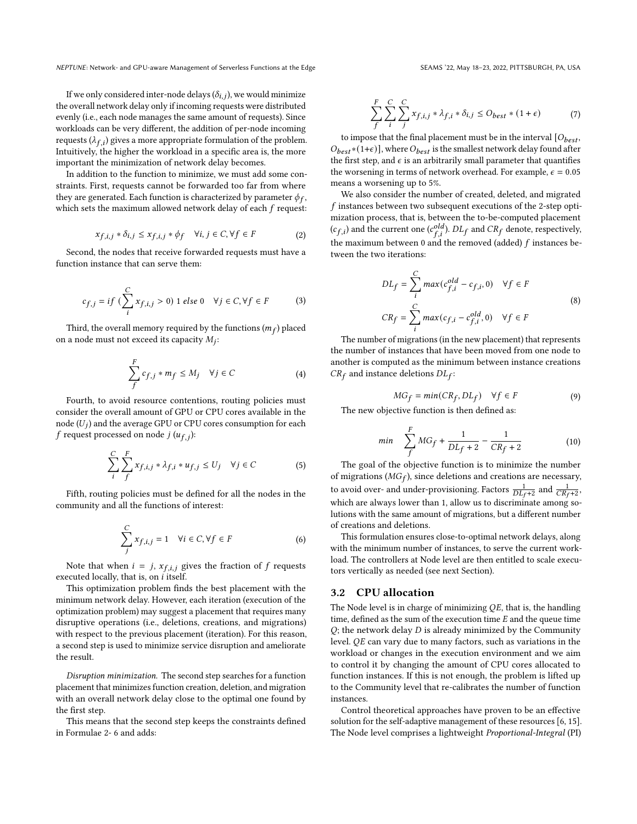If we only considered inter-node delays  $(\delta_{i,j})$ , we would minimize the overall network delay only if incoming requests were distributed evenly (i.e., each node manages the same amount of requests). Since workloads can be very different, the addition of per-node incoming requests ( $\lambda_{f,i}$ ) gives a more appropriate formulation of the problem. Intuitively, the higher the workload in a specific area is, the more important the minimization of network delay becomes.

In addition to the function to minimize, we must add some constraints. First, requests cannot be forwarded too far from where they are generated. Each function is characterized by parameter  $\phi_f$ , which sets the maximum allowed network delay of each  $f$  request:

<span id="page-4-0"></span>
$$
x_{f,i,j} * \delta_{i,j} \le x_{f,i,j} * \phi_f \quad \forall i,j \in C, \forall f \in F \tag{2}
$$

Second, the nodes that receive forwarded requests must have a function instance that can serve them:

$$
c_{f,j} = if \left( \sum_{i}^{C} x_{f,i,j} > 0 \right) \text{ 1 else } 0 \quad \forall j \in C, \forall f \in F
$$
 (3)

Third, the overall memory required by the functions  $(m_f)$  placed on a node must not exceed its capacity  $M_i$ :

$$
\sum_{f}^{F} c_{f,j} * m_f \le M_j \quad \forall j \in C \tag{4}
$$

Fourth, to avoid resource contentions, routing policies must consider the overall amount of GPU or CPU cores available in the node  $(U_i)$  and the average GPU or CPU cores consumption for each f request processed on node  $j(u_{f,j})$ :

$$
\sum_{i}^{C} \sum_{f}^{F} x_{f,i,j} * \lambda_{f,i} * u_{f,j} \le U_j \quad \forall j \in C
$$
 (5)

Fifth, routing policies must be defined for all the nodes in the community and all the functions of interest:

<span id="page-4-1"></span>
$$
\sum_{j}^{C} x_{f,i,j} = 1 \quad \forall i \in C, \forall f \in F
$$
 (6)

Note that when  $i = j$ ,  $x_{f,i,j}$  gives the fraction of  $f$  requests executed locally, that is, on  $i$  itself.

This optimization problem finds the best placement with the minimum network delay. However, each iteration (execution of the optimization problem) may suggest a placement that requires many disruptive operations (i.e., deletions, creations, and migrations) with respect to the previous placement (iteration). For this reason, a second step is used to minimize service disruption and ameliorate the result.

Disruption minimization. The second step searches for a function placement that minimizes function creation, deletion, and migration with an overall network delay close to the optimal one found by the first step.

This means that the second step keeps the constraints defined in Formulae [2-](#page-4-0) [6](#page-4-1) and adds:

$$
\sum_{f}^{F} \sum_{i}^{C} \sum_{j}^{C} x_{f,i,j} * \lambda_{f,i} * \delta_{i,j} \leq O_{best} * (1 + \epsilon)
$$
 (7)

to impose that the final placement must be in the interval  $[O_{best},$  $O_{best}*(1+\epsilon)$ ], where  $O_{best}$  is the smallest network delay found after the first step, and  $\epsilon$  is an arbitrarily small parameter that quantifies the worsening in terms of network overhead. For example,  $\epsilon = 0.05$ means a worsening up to 5%.

We also consider the number of created, deleted, and migrated  $f$  instances between two subsequent executions of the 2-step optimization process, that is, between the to-be-computed placement  $(c_{f,i})$  and the current one  $(c_{f,i}^{old})$ .  $DL_f$  and  $CR_f$  denote, respectively, the maximum between 0 and the removed (added)  $f$  instances between the two iterations:

$$
DL_f = \sum_{i}^{C} max(c_{f,i}^{old} - c_{f,i}, 0) \quad \forall f \in F
$$
  
\n
$$
CR_f = \sum_{i}^{C} max(c_{f,i} - c_{f,i}^{old}, 0) \quad \forall f \in F
$$
\n(8)

The number of migrations (in the new placement) that represents the number of instances that have been moved from one node to another is computed as the minimum between instance creations  $CR_f$  and instance deletions  $DL_f$ :

$$
MG_f = min(CR_f, DL_f) \quad \forall f \in F \tag{9}
$$

The new objective function is then defined as:

$$
min \quad \sum_{f}^{F} MG_f + \frac{1}{DL_f + 2} - \frac{1}{CR_f + 2} \tag{10}
$$

The goal of the objective function is to minimize the number of migrations ( $MG_f$ ), since deletions and creations are necessary, to avoid over- and under-provisioning. Factors  $\frac{1}{DL_f+2}$  and  $\frac{1}{CR_f+2}$ , which are always lower than 1, allow us to discriminate among solutions with the same amount of migrations, but a different number of creations and deletions.

This formulation ensures close-to-optimal network delays, along with the minimum number of instances, to serve the current workload. The controllers at Node level are then entitled to scale executors vertically as needed (see next Section).

# 3.2 CPU allocation

The Node level is in charge of minimizing  $QE$ , that is, the handling time, defined as the sum of the execution time  $E$  and the queue time  $Q$ ; the network delay  $D$  is already minimized by the Community level.  $QE$  can vary due to many factors, such as variations in the workload or changes in the execution environment and we aim to control it by changing the amount of CPU cores allocated to function instances. If this is not enough, the problem is lifted up to the Community level that re-calibrates the number of function instances.

Control theoretical approaches have proven to be an effective solution for the self-adaptive management of these resources [\[6,](#page-11-14) [15\]](#page-11-24). The Node level comprises a lightweight Proportional-Integral (PI)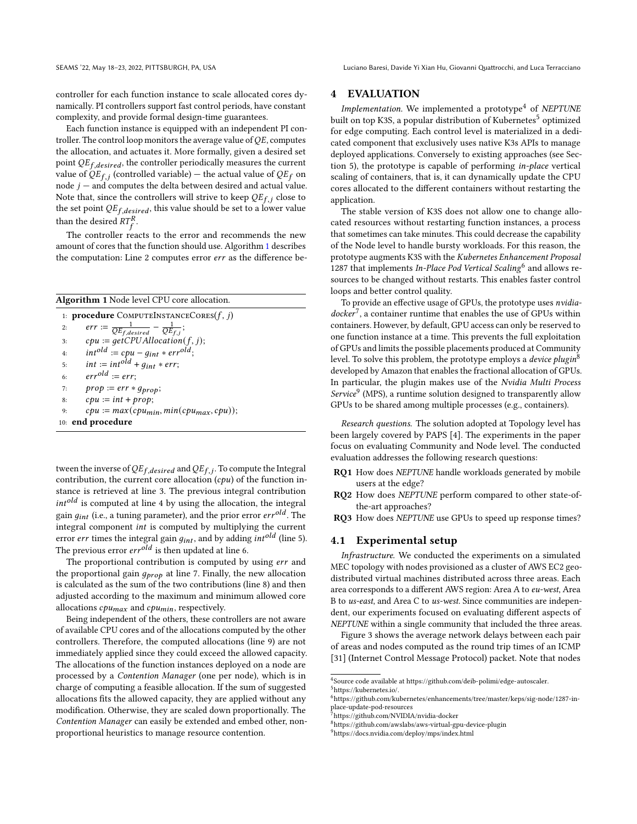SEAMS '22, May 18–23, 2022, PITTSBURGH, PA, USA Luciano Baresi, Davide Yi Xian Hu, Giovanni Quattrocchi, and Luca Terracciano

controller for each function instance to scale allocated cores dynamically. PI controllers support fast control periods, have constant complexity, and provide formal design-time guarantees.

Each function instance is equipped with an independent PI controller. The control loop monitors the average value of  $OE$ , computes the allocation, and actuates it. More formally, given a desired set point  $QE_{f,desired}$ , the controller periodically measures the current value of  $QE_{f,i}$  (controlled variable) – the actual value of  $QE_f$  on node  $j$  – and computes the delta between desired and actual value. Note that, since the controllers will strive to keep  $QE_f$  ; close to the set point  $QE_{f,desired}$ , this value should be set to a lower value than the desired  $RT_f^R$ .

The controller reacts to the error and recommends the new amount of cores that the function should use. Algorithm [1](#page-5-1) describes the computation: Line 2 computes error  $err$  as the difference be-

<span id="page-5-1"></span>

| <b>Algorithm 1</b> Node level CPU core allocation.             |
|----------------------------------------------------------------|
| 1: <b>procedure</b> COMPUTEINSTANCECORES $(f, j)$              |
| err := $\frac{1}{QE_{f,desired}} - \frac{1}{QE_{f,j}}$ ;<br>2: |
| $cpu := getCPU Allocation(f, j);$<br>3:                        |
| $int^{old} := cpu - q_{int} * err^{old};$<br>4:                |
| $int := int^{old} + q_{int} * err;$<br>5:                      |
| $err^{old} := err$<br>6:                                       |
| $prop := err * g_{prop};$<br>7:                                |
| $cpu := int + prop;$<br>8:                                     |
| $cpu := max(cpu_{min}, min(cpu_{max}, cpu));$<br>9:            |
| 10: end procedure                                              |

tween the inverse of  $QE_{f, desired}$  and  $QE_{f,j}$ . To compute the Integral contribution, the current core allocation  $(cpu)$  of the function instance is retrieved at line 3. The previous integral contribution  $int^{old}$  is computed at line 4 by using the allocation, the integral gain  $q_{int}$  (i.e., a tuning parameter), and the prior error  $err^{old}$ . The integral component is computed by multiplying the current error err times the integral gain  $g_{int}$ , and by adding  $int^{old}$  (line 5). The previous error  $err^{old}$  is then updated at line 6.

The proportional contribution is computed by using err and the proportional gain  $q_{\text{prop}}$  at line 7. Finally, the new allocation is calculated as the sum of the two contributions (line 8) and then adjusted according to the maximum and minimum allowed core allocations  $cpu_{max}$  and  $cpu_{min}$ , respectively.

Being independent of the others, these controllers are not aware of available CPU cores and of the allocations computed by the other controllers. Therefore, the computed allocations (line 9) are not immediately applied since they could exceed the allowed capacity. The allocations of the function instances deployed on a node are processed by a Contention Manager (one per node), which is in charge of computing a feasible allocation. If the sum of suggested allocations fits the allowed capacity, they are applied without any modification. Otherwise, they are scaled down proportionally. The Contention Manager can easily be extended and embed other, nonproportional heuristics to manage resource contention.

## <span id="page-5-0"></span>4 EVALUATION

Implementation. We implemented a prototype<sup>[4](#page-5-2)</sup> of NEPTUNE built on top K3S, a popular distribution of Kubernetes<sup>[5](#page-5-3)</sup> optimized for edge computing. Each control level is materialized in a dedicated component that exclusively uses native K3s APIs to manage deployed applications. Conversely to existing approaches (see Section [5\)](#page-9-0), the prototype is capable of performing in-place vertical scaling of containers, that is, it can dynamically update the CPU cores allocated to the different containers without restarting the application.

The stable version of K3S does not allow one to change allocated resources without restarting function instances, a process that sometimes can take minutes. This could decrease the capability of the Node level to handle bursty workloads. For this reason, the prototype augments K3S with the Kubernetes Enhancement Proposal  $\frac{1}{1287}$  that implements *In-Place Pod Vertical Scaling*<sup>[6](#page-5-4)</sup> and allows resources to be changed without restarts. This enables faster control loops and better control quality.

To provide an effective usage of GPUs, the prototype uses nvidiadocker[7](#page-5-5) , a container runtime that enables the use of GPUs within containers. However, by default, GPU access can only be reserved to one function instance at a time. This prevents the full exploitation of GPUs and limits the possible placements produced at Community level. To solve this problem, the prototype employs a *device plugin*<sup>[8](#page-5-6)</sup> developed by Amazon that enables the fractional allocation of GPUs. In particular, the plugin makes use of the Nvidia Multi Process Service<sup>[9](#page-5-7)</sup> (MPS), a runtime solution designed to transparently allow GPUs to be shared among multiple processes (e.g., containers).

Research questions. The solution adopted at Topology level has been largely covered by PAPS [\[4\]](#page-10-1). The experiments in the paper focus on evaluating Community and Node level. The conducted evaluation addresses the following research questions:

- RQ1 How does NEPTUNE handle workloads generated by mobile users at the edge?
- RQ2 How does NEPTUNE perform compared to other state-ofthe-art approaches?

RQ3 How does NEPTUNE use GPUs to speed up response times?

#### <span id="page-5-8"></span>4.1 Experimental setup

Infrastructure. We conducted the experiments on a simulated MEC topology with nodes provisioned as a cluster of AWS EC2 geodistributed virtual machines distributed across three areas. Each area corresponds to a different AWS region: Area A to eu-west, Area B to us-east, and Area C to us-west. Since communities are independent, our experiments focused on evaluating different aspects of NEPTUNE within a single community that included the three areas.

Figure [3](#page-6-0) shows the average network delays between each pair of areas and nodes computed as the round trip times of an ICMP [\[31\]](#page-11-25) (Internet Control Message Protocol) packet. Note that nodes

<span id="page-5-2"></span><sup>4</sup> Source code available at [https://github.com/deib-polimi/edge-autoscaler.](https://github.com/deib-polimi/edge-autoscaler)

<span id="page-5-3"></span><sup>5</sup>[https://kubernetes.io/.](https://kubernetes.io/)

<span id="page-5-4"></span> $^6$ https://github.com/kubernetes/enhancements/tree/master/keps/sig-node/1287-inplace-update-pod-resources

<span id="page-5-5"></span><sup>7</sup>https://github.com/NVIDIA/nvidia-docker

<span id="page-5-6"></span><sup>8</sup>https://github.com/awslabs/aws-virtual-gpu-device-plugin

<span id="page-5-7"></span><sup>9</sup>https://docs.nvidia.com/deploy/mps/index.html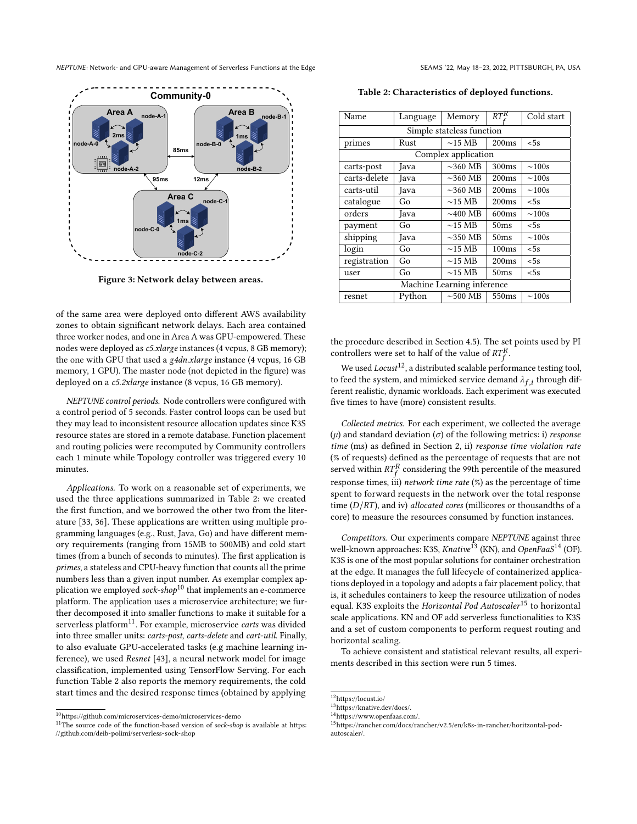<span id="page-6-0"></span>

Figure 3: Network delay between areas.

of the same area were deployed onto different AWS availability zones to obtain significant network delays. Each area contained three worker nodes, and one in Area A was GPU-empowered. These nodes were deployed as c5.xlarge instances (4 vcpus, 8 GB memory); the one with GPU that used a g4dn.xlarge instance (4 vcpus, 16 GB memory, 1 GPU). The master node (not depicted in the figure) was deployed on a c5.2xlarge instance (8 vcpus, 16 GB memory).

NEPTUNE control periods. Node controllers were configured with a control period of 5 seconds. Faster control loops can be used but they may lead to inconsistent resource allocation updates since K3S resource states are stored in a remote database. Function placement and routing policies were recomputed by Community controllers each 1 minute while Topology controller was triggered every 10 minutes.

Applications. To work on a reasonable set of experiments, we used the three applications summarized in Table [2:](#page-6-1) we created the first function, and we borrowed the other two from the literature [\[33,](#page-11-26) [36\]](#page-11-27). These applications are written using multiple programming languages (e.g., Rust, Java, Go) and have different memory requirements (ranging from 15MB to 500MB) and cold start times (from a bunch of seconds to minutes). The first application is primes, a stateless and CPU-heavy function that counts all the prime numbers less than a given input number. As exemplar complex ap-plication we employed sock-shop<sup>[10](#page-6-2)</sup> that implements an e-commerce platform. The application uses a microservice architecture; we further decomposed it into smaller functions to make it suitable for a serverless platform<sup>[11](#page-6-3)</sup>. For example, microservice carts was divided into three smaller units: carts-post, carts-delete and cart-util. Finally, to also evaluate GPU-accelerated tasks (e.g machine learning inference), we used Resnet [\[43\]](#page-11-28), a neural network model for image classification, implemented using TensorFlow Serving. For each function Table [2](#page-6-1) also reports the memory requirements, the cold start times and the desired response times (obtained by applying

<span id="page-6-1"></span>Table 2: Characteristics of deployed functions.

| Name                       | Language | Memory                | $RT^R_c$         | Cold start  |  |  |  |  |  |  |
|----------------------------|----------|-----------------------|------------------|-------------|--|--|--|--|--|--|
| Simple stateless function  |          |                       |                  |             |  |  |  |  |  |  |
| primes                     | Rust     | $\sim$ 15 MB          | 200ms            | < 5s        |  |  |  |  |  |  |
| Complex application        |          |                       |                  |             |  |  |  |  |  |  |
| carts-post                 | Java     | $\sim$ 360 MB         | 300ms            | $\sim 100s$ |  |  |  |  |  |  |
| carts-delete               | Java     | $\sim$ 360 MB         | 200ms            | $\sim 100s$ |  |  |  |  |  |  |
| carts-util                 | Java     | $\sim$ 360 MB         | 200ms            | $\sim 100s$ |  |  |  |  |  |  |
| catalogue                  | Go       | $\sim$ 15 MB          | 200ms            | < 5s        |  |  |  |  |  |  |
| orders                     | Java     | $\sim$ 400 MB         | 600ms            | $\sim 100s$ |  |  |  |  |  |  |
| payment                    | Go       | $\sim$ 15 MB          | 50 <sub>ms</sub> | < 5s        |  |  |  |  |  |  |
| shipping                   | Java     | $\sim$ 350 MB         | 50ms             | $\sim 100s$ |  |  |  |  |  |  |
| login                      | Go       | $\sim$ 15 MB<br>100ms |                  | < 5s        |  |  |  |  |  |  |
| registration               | Go       | $\sim$ 15 MB          | 200ms            | < 5s        |  |  |  |  |  |  |
| user                       | Go       | $\sim$ 15 MB          | 50ms             | < 5s        |  |  |  |  |  |  |
| Machine Learning inference |          |                       |                  |             |  |  |  |  |  |  |
| resnet                     | Python   | $\sim$ 500 MB         | 550ms            | $\sim 100s$ |  |  |  |  |  |  |

the procedure described in Section [4.5\)](#page-9-1). The set points used by PI controllers were set to half of the value of  $RT_f^R$ .

We used  $Locus^{12}$  $Locus^{12}$  $Locus^{12}$ , a distributed scalable performance testing tool, to feed the system, and mimicked service demand  $\lambda_{f,i}$  through different realistic, dynamic workloads. Each experiment was executed five times to have (more) consistent results.

Collected metrics. For each experiment, we collected the average ( $\mu$ ) and standard deviation ( $\sigma$ ) of the following metrics: i) *response* time (ms) as defined in Section [2,](#page-1-1) ii) response time violation rate (% of requests) defined as the percentage of requests that are not served within  $RT_f^R$  considering the 99th percentile of the measured response times, iii) network time rate  $(\%)$  as the percentage of time spent to forward requests in the network over the total response time  $(D/RT)$ , and iv) *allocated cores* (millicores or thousandths of a core) to measure the resources consumed by function instances.

Competitors. Our experiments compare NEPTUNE against three well-known approaches: K3S, Knative<sup>[13](#page-6-5)</sup> (KN), and OpenFaaS<sup>[14](#page-6-6)</sup> (OF). K3S is one of the most popular solutions for container orchestration at the edge. It manages the full lifecycle of containerized applications deployed in a topology and adopts a fair placement policy, that is, it schedules containers to keep the resource utilization of nodes equal. K3S exploits the Horizontal Pod Autoscaler<sup>[15](#page-6-7)</sup> to horizontal scale applications. KN and OF add serverless functionalities to K3S and a set of custom components to perform request routing and horizontal scaling.

To achieve consistent and statistical relevant results, all experiments described in this section were run 5 times.

<span id="page-6-2"></span> $\overline{^{10}{\rm \bf https://github.com/microserves-demo/microserves-demo}}$ 

<span id="page-6-3"></span> $11$ The source code of the function-based version of sock-shop is available at [https:](https://github.com/deib-polimi/serverless-sock-shop) [//github.com/deib-polimi/serverless-sock-shop](https://github.com/deib-polimi/serverless-sock-shop)

<span id="page-6-4"></span><sup>12</sup><https://locust.io/>

<span id="page-6-5"></span> $^{13}{\rm ht}$ rs://knative.dev/docs/.

<span id="page-6-6"></span><sup>14</sup>[https://www.openfaas.com/.](https://www.openfaas.com/)

<span id="page-6-7"></span><sup>15</sup>[https://rancher.com/docs/rancher/v2.5/en/k8s-in-rancher/horitzontal-pod](https://rancher.com/docs/rancher/v2.5/en/k8s-in-rancher/horitzontal-pod-autoscaler/)[autoscaler/.](https://rancher.com/docs/rancher/v2.5/en/k8s-in-rancher/horitzontal-pod-autoscaler/)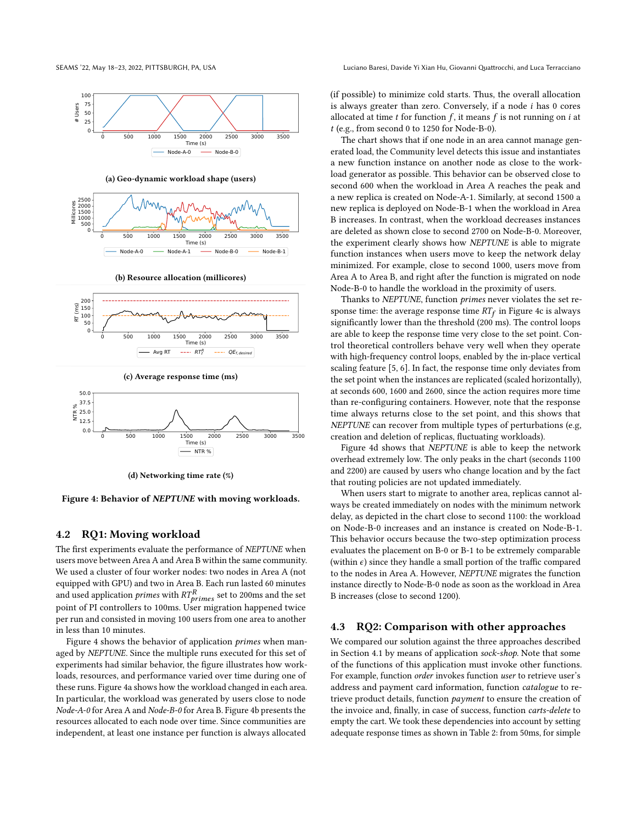<span id="page-7-0"></span>

(a) Geo-dynamic workload shape (users)



(b) Resource allocation (millicores)



(c) Average response time (ms)



(d) Networking time rate (%)

Figure 4: Behavior of NEPTUNE with moving workloads.

#### 4.2 RQ1: Moving workload

The first experiments evaluate the performance of NEPTUNE when users move between Area A and Area B within the same community. We used a cluster of four worker nodes: two nodes in Area A (not equipped with GPU) and two in Area B. Each run lasted 60 minutes and used application *primes* with  $RT_{primes}^R$  set to 200ms and the set point of PI controllers to 100ms. User migration happened twice per run and consisted in moving 100 users from one area to another in less than 10 minutes.

Figure [4](#page-7-0) shows the behavior of application primes when managed by NEPTUNE. Since the multiple runs executed for this set of experiments had similar behavior, the figure illustrates how workloads, resources, and performance varied over time during one of these runs. Figure [4a](#page-7-0) shows how the workload changed in each area. In particular, the workload was generated by users close to node Node-A-0 for Area A and Node-B-0 for Area B. Figure [4b](#page-7-0) presents the resources allocated to each node over time. Since communities are independent, at least one instance per function is always allocated

(if possible) to minimize cold starts. Thus, the overall allocation is always greater than zero. Conversely, if a node  $i$  has  $0$  cores allocated at time  $t$  for function  $f$ , it means  $f$  is not running on  $i$  at  $t$  (e.g., from second 0 to 1250 for Node-B-0).

The chart shows that if one node in an area cannot manage generated load, the Community level detects this issue and instantiates a new function instance on another node as close to the workload generator as possible. This behavior can be observed close to second 600 when the workload in Area A reaches the peak and a new replica is created on Node-A-1. Similarly, at second 1500 a new replica is deployed on Node-B-1 when the workload in Area B increases. In contrast, when the workload decreases instances are deleted as shown close to second 2700 on Node-B-0. Moreover, the experiment clearly shows how NEPTUNE is able to migrate function instances when users move to keep the network delay minimized. For example, close to second 1000, users move from Area A to Area B, and right after the function is migrated on node Node-B-0 to handle the workload in the proximity of users.

Thanks to NEPTUNE, function primes never violates the set response time: the average response time  $RT_f$  in Figure [4c](#page-7-0) is always significantly lower than the threshold (200 ms). The control loops are able to keep the response time very close to the set point. Control theoretical controllers behave very well when they operate with high-frequency control loops, enabled by the in-place vertical scaling feature [\[5,](#page-11-29) [6\]](#page-11-14). In fact, the response time only deviates from the set point when the instances are replicated (scaled horizontally), at seconds 600, 1600 and 2600, since the action requires more time than re-configuring containers. However, note that the response time always returns close to the set point, and this shows that NEPTUNE can recover from multiple types of perturbations (e.g, creation and deletion of replicas, fluctuating workloads).

Figure [4d](#page-7-0) shows that NEPTUNE is able to keep the network overhead extremely low. The only peaks in the chart (seconds 1100 and 2200) are caused by users who change location and by the fact that routing policies are not updated immediately.

When users start to migrate to another area, replicas cannot always be created immediately on nodes with the minimum network delay, as depicted in the chart close to second 1100: the workload on Node-B-0 increases and an instance is created on Node-B-1. This behavior occurs because the two-step optimization process evaluates the placement on B-0 or B-1 to be extremely comparable (within  $\epsilon$ ) since they handle a small portion of the traffic compared to the nodes in Area A. However, NEPTUNE migrates the function instance directly to Node-B-0 node as soon as the workload in Area B increases (close to second 1200).

## <span id="page-7-1"></span>4.3 RQ2: Comparison with other approaches

We compared our solution against the three approaches described in Section [4.1](#page-5-8) by means of application sock-shop. Note that some of the functions of this application must invoke other functions. For example, function order invokes function user to retrieve user's address and payment card information, function catalogue to retrieve product details, function payment to ensure the creation of the invoice and, finally, in case of success, function carts-delete to empty the cart. We took these dependencies into account by setting adequate response times as shown in Table [2:](#page-6-1) from 50ms, for simple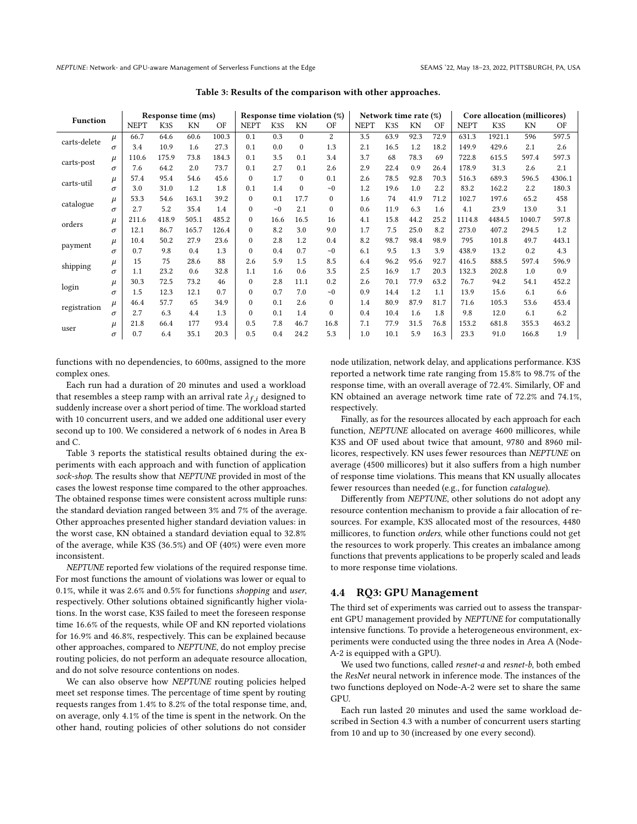<span id="page-8-0"></span>

| <b>Function</b>                |          | Response time (ms) |                  |       | Response time violation $(\%)$ |             |                  | Network time rate (%) |                |             |      | Core allocation (millicores) |      |             |        |        |        |
|--------------------------------|----------|--------------------|------------------|-------|--------------------------------|-------------|------------------|-----------------------|----------------|-------------|------|------------------------------|------|-------------|--------|--------|--------|
|                                |          | <b>NEPT</b>        | K <sub>3</sub> S | KN    | OF                             | <b>NEPT</b> | K <sub>3</sub> S | KN                    | OF             | <b>NEPT</b> | K3S  | KN                           | OF   | <b>NEPT</b> | K3S    | KN     | OF     |
| carts-delete                   | $\mu$    | 66.7               | 64.6             | 60.6  | 100.3                          | 0.1         | 0.3              | $\Omega$              | $\overline{c}$ | 3.5         | 63.9 | 92.3                         | 72.9 | 631.3       | 1921.1 | 596    | 597.5  |
|                                | σ        | 3.4                | 10.9             | 1.6   | 27.3                           | 0.1         | 0.0              | $\Omega$              | 1.3            | 2.1         | 16.5 | 1.2                          | 18.2 | 149.9       | 429.6  | 2.1    | 2.6    |
| carts-post                     | $\mu$    | 110.6              | 175.9            | 73.8  | 184.3                          | 0.1         | 3.5              | 0.1                   | 3.4            | 3.7         | 68   | 78.3                         | 69   | 722.8       | 615.5  | 597.4  | 597.3  |
|                                | σ        | 7.6                | 64.2             | 2.0   | 73.7                           | 0.1         | 2.7              | 0.1                   | 2.6            | 2.9         | 22.4 | 0.9                          | 26.4 | 178.9       | 31.3   | 2.6    | 2.1    |
| carts-util                     | $\mu$    | 57.4               | 95.4             | 54.6  | 45.6                           | $\theta$    | 1.7              | $\Omega$              | 0.1            | 2.6         | 78.5 | 92.8                         | 70.3 | 516.3       | 689.3  | 596.5  | 4306.1 |
|                                | $\sigma$ | 3.0                | 31.0             | 1.2   | 1.8                            | 0.1         | 1.4              | $\Omega$              | $\sim 0$       | 1.2         | 19.6 | 1.0                          | 2.2  | 83.2        | 162.2  | 2.2    | 180.3  |
| $\mu$<br>catalogue<br>$\sigma$ |          | 53.3               | 54.6             | 163.1 | 39.2                           | $\Omega$    | 0.1              | 17.7                  | $\Omega$       | 1.6         | 74   | 41.9                         | 71.2 | 102.7       | 197.6  | 65.2   | 458    |
|                                |          | 2.7                | 5.2              | 35.4  | 1.4                            | $\Omega$    | $\sim 0$         | 2.1                   | $\Omega$       | 0.6         | 11.9 | 6.3                          | 1.6  | 4.1         | 23.9   | 13.0   | 3.1    |
| $\mu$<br>orders<br>σ           |          | 211.6              | 418.9            | 505.1 | 485.2                          | $\theta$    | 16.6             | 16.5                  | 16             | 4.1         | 15.8 | 44.2                         | 25.2 | 1114.8      | 4484.5 | 1040.7 | 597.8  |
|                                |          | 12.1               | 86.7             | 165.7 | 126.4                          | $\Omega$    | 8.2              | 3.0                   | 9.0            | 1.7         | 7.5  | 25.0                         | 8.2  | 273.0       | 407.2  | 294.5  | 1.2    |
| payment                        | $\mu$    | 10.4               | 50.2             | 27.9  | 23.6                           | $\Omega$    | 2.8              | 1.2                   | 0.4            | 8.2         | 98.7 | 98.4                         | 98.9 | 795         | 101.8  | 49.7   | 443.1  |
|                                | $\sigma$ | 0.7                | 9.8              | 0.4   | 1.3                            | $\theta$    | 0.4              | 0.7                   | $\sim 0$       | 6.1         | 9.5  | 1.3                          | 3.9  | 438.9       | 13.2   | 0.2    | 4.3    |
| shipping                       | $\mu$    | 15                 | 75               | 28.6  | 88                             | 2.6         | 5.9              | 1.5                   | 8.5            | 6.4         | 96.2 | 95.6                         | 92.7 | 416.5       | 888.5  | 597.4  | 596.9  |
|                                | $\sigma$ | 1.1                | 23.2             | 0.6   | 32.8                           | 1.1         | 1.6              | 0.6                   | 3.5            | 2.5         | 16.9 | 1.7                          | 20.3 | 132.3       | 202.8  | 1.0    | 0.9    |
| $\mu$<br>login<br>$\sigma$     |          | 30.3               | 72.5             | 73.2  | 46                             | $\Omega$    | 2.8              | 11.1                  | 0.2            | 2.6         | 70.1 | 77.9                         | 63.2 | 76.7        | 94.2   | 54.1   | 452.2  |
|                                |          | 1.5                | 12.3             | 12.1  | 0.7                            | $\theta$    | 0.7              | 7.0                   | $\sim 0$       | 0.9         | 14.4 | 1.2                          | 1.1  | 13.9        | 15.6   | 6.1    | 6.6    |
| registration                   | $\mu$    | 46.4               | 57.7             | 65    | 34.9                           | $\Omega$    | 0.1              | 2.6                   | $\Omega$       | 1.4         | 80.9 | 87.9                         | 81.7 | 71.6        | 105.3  | 53.6   | 453.4  |
|                                | σ        | 2.7                | 6.3              | 4.4   | 1.3                            | $\Omega$    | 0.1              | 1.4                   | $\Omega$       | 0.4         | 10.4 | 1.6                          | 1.8  | 9.8         | 12.0   | 6.1    | 6.2    |
| user                           | $\mu$    | 21.8               | 66.4             | 177   | 93.4                           | 0.5         | 7.8              | 46.7                  | 16.8           | 7.1         | 77.9 | 31.5                         | 76.8 | 153.2       | 681.8  | 355.3  | 463.2  |
|                                | $\sigma$ | 0.7                | 6.4              | 35.1  | 20.3                           | 0.5         | 0.4              | 24.2                  | 5.3            | 1.0         | 10.1 | 5.9                          | 16.3 | 23.3        | 91.0   | 166.8  | 1.9    |

Table 3: Results of the comparison with other approaches.

functions with no dependencies, to 600ms, assigned to the more complex ones.

Each run had a duration of 20 minutes and used a workload that resembles a steep ramp with an arrival rate  $\lambda_{f,i}$  designed to suddenly increase over a short period of time. The workload started with 10 concurrent users, and we added one additional user every second up to 100. We considered a network of 6 nodes in Area B and C.

Table [3](#page-8-0) reports the statistical results obtained during the experiments with each approach and with function of application sock-shop. The results show that NEPTUNE provided in most of the cases the lowest response time compared to the other approaches. The obtained response times were consistent across multiple runs: the standard deviation ranged between 3% and 7% of the average. Other approaches presented higher standard deviation values: in the worst case, KN obtained a standard deviation equal to 32.8% of the average, while K3S (36.5%) and OF (40%) were even more inconsistent.

NEPTUNE reported few violations of the required response time. For most functions the amount of violations was lower or equal to 0.1%, while it was 2.6% and 0.5% for functions shopping and user, respectively. Other solutions obtained significantly higher violations. In the worst case, K3S failed to meet the foreseen response time 16.6% of the requests, while OF and KN reported violations for 16.9% and 46.8%, respectively. This can be explained because other approaches, compared to NEPTUNE, do not employ precise routing policies, do not perform an adequate resource allocation, and do not solve resource contentions on nodes.

We can also observe how NEPTUNE routing policies helped meet set response times. The percentage of time spent by routing requests ranges from 1.4% to 8.2% of the total response time, and, on average, only 4.1% of the time is spent in the network. On the other hand, routing policies of other solutions do not consider

node utilization, network delay, and applications performance. K3S reported a network time rate ranging from 15.8% to 98.7% of the response time, with an overall average of 72.4%. Similarly, OF and KN obtained an average network time rate of 72.2% and 74.1%, respectively.

Finally, as for the resources allocated by each approach for each function, NEPTUNE allocated on average 4600 millicores, while K3S and OF used about twice that amount, 9780 and 8960 millicores, respectively. KN uses fewer resources than NEPTUNE on average (4500 millicores) but it also suffers from a high number of response time violations. This means that KN usually allocates fewer resources than needed (e.g., for function catalogue).

Differently from NEPTUNE, other solutions do not adopt any resource contention mechanism to provide a fair allocation of resources. For example, K3S allocated most of the resources, 4480 millicores, to function orders, while other functions could not get the resources to work properly. This creates an imbalance among functions that prevents applications to be properly scaled and leads to more response time violations.

#### 4.4 RQ3: GPU Management

The third set of experiments was carried out to assess the transparent GPU management provided by NEPTUNE for computationally intensive functions. To provide a heterogeneous environment, experiments were conducted using the three nodes in Area A (Node-A-2 is equipped with a GPU).

We used two functions, called resnet-a and resnet-b, both embed the ResNet neural network in inference mode. The instances of the two functions deployed on Node-A-2 were set to share the same GPU.

Each run lasted 20 minutes and used the same workload described in Section [4.3](#page-7-1) with a number of concurrent users starting from 10 and up to 30 (increased by one every second).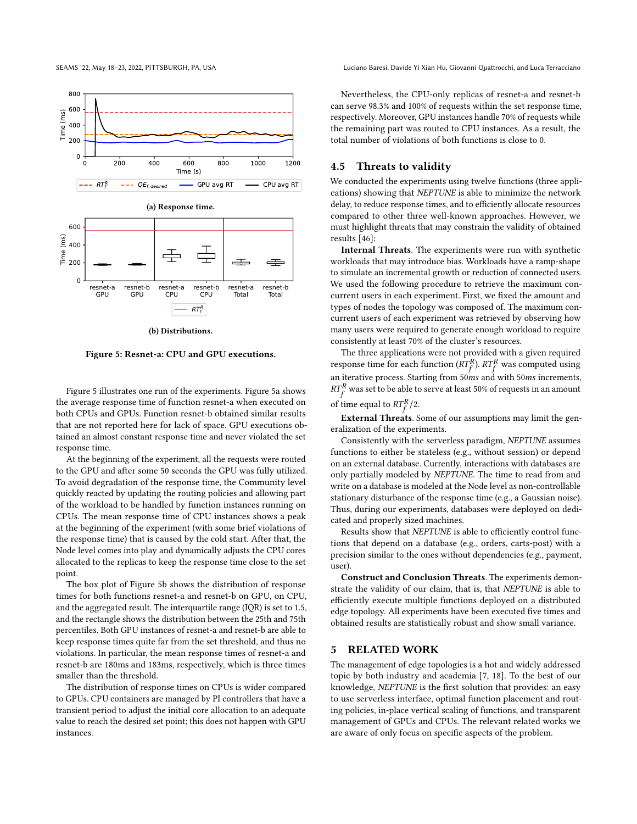<span id="page-9-2"></span>800 600 Time (ms) 400 200  $0 +$ 0 200 400 600 800 1000 1200 Time (s)  $\overline{\phantom{0}}$   $\overline{\phantom{0}}$   $\overline{\phantom{0}}$   $\overline{\phantom{0}}$  GPU avg RT  $\phantom{0}$  CPU avg RT  $RT_f^R$ (a) Response time. 600 Time (ms) 400 工  $\overline{\phantom{a}}$  $\equiv$ 200  $\Omega$ resnet-b resnet-a resnet-a resnet-b resnet-a resnet-b GPU GPU **CPU** CPU Total Total  $RT_f^{\mathcal{R}}$ 

(b) Distributions.

Figure 5: Resnet-a: CPU and GPU executions.

Figure [5](#page-9-2) illustrates one run of the experiments. Figure [5a](#page-9-2) shows the average response time of function resnet-a when executed on both CPUs and GPUs. Function resnet-b obtained similar results that are not reported here for lack of space. GPU executions obtained an almost constant response time and never violated the set response time.

At the beginning of the experiment, all the requests were routed to the GPU and after some 50 seconds the GPU was fully utilized. To avoid degradation of the response time, the Community level quickly reacted by updating the routing policies and allowing part of the workload to be handled by function instances running on CPUs. The mean response time of CPU instances shows a peak at the beginning of the experiment (with some brief violations of the response time) that is caused by the cold start. After that, the Node level comes into play and dynamically adjusts the CPU cores allocated to the replicas to keep the response time close to the set point.

The box plot of Figure [5b](#page-9-2) shows the distribution of response times for both functions resnet-a and resnet-b on GPU, on CPU, and the aggregated result. The interquartile range (IQR) is set to 1.5, and the rectangle shows the distribution between the 25th and 75th percentiles. Both GPU instances of resnet-a and resnet-b are able to keep response times quite far from the set threshold, and thus no violations. In particular, the mean response times of resnet-a and resnet-b are 180ms and 183ms, respectively, which is three times smaller than the threshold.

The distribution of response times on CPUs is wider compared to GPUs. CPU containers are managed by PI controllers that have a transient period to adjust the initial core allocation to an adequate value to reach the desired set point; this does not happen with GPU instances.

SEAMS '22, May 18–23, 2022, PITTSBURGH, PA, USA Luciano Baresi, Davide Yi Xian Hu, Giovanni Quattrocchi, and Luca Terracciano

Nevertheless, the CPU-only replicas of resnet-a and resnet-b can serve 98.3% and 100% of requests within the set response time, respectively. Moreover, GPU instances handle 70% of requests while the remaining part was routed to CPU instances. As a result, the total number of violations of both functions is close to 0.

#### <span id="page-9-1"></span>4.5 Threats to validity

We conducted the experiments using twelve functions (three applications) showing that NEPTUNE is able to minimize the network delay, to reduce response times, and to efficiently allocate resources compared to other three well-known approaches. However, we must highlight threats that may constrain the validity of obtained results [\[46\]](#page-11-30):

Internal Threats. The experiments were run with synthetic workloads that may introduce bias. Workloads have a ramp-shape to simulate an incremental growth or reduction of connected users. We used the following procedure to retrieve the maximum concurrent users in each experiment. First, we fixed the amount and types of nodes the topology was composed of. The maximum concurrent users of each experiment was retrieved by observing how many users were required to generate enough workload to require consistently at least 70% of the cluster's resources.

The three applications were not provided with a given required response time for each function  $(RT_f^R)$ .  $RT_f^R$  was computed using an iterative process. Starting from 50ms and with 50ms increments,  $RT_f^R$  was set to be able to serve at least 50% of requests in an amount

of time equal to  $RT_f^R/2$ .

External Threats. Some of our assumptions may limit the generalization of the experiments.

Consistently with the serverless paradigm, NEPTUNE assumes functions to either be stateless (e.g., without session) or depend on an external database. Currently, interactions with databases are only partially modeled by NEPTUNE. The time to read from and write on a database is modeled at the Node level as non-controllable stationary disturbance of the response time (e.g., a Gaussian noise). Thus, during our experiments, databases were deployed on dedicated and properly sized machines.

Results show that NEPTUNE is able to efficiently control functions that depend on a database (e.g., orders, carts-post) with a precision similar to the ones without dependencies (e.g., payment, user).

Construct and Conclusion Threats. The experiments demonstrate the validity of our claim, that is, that NEPTUNE is able to efficiently execute multiple functions deployed on a distributed edge topology. All experiments have been executed five times and obtained results are statistically robust and show small variance.

## <span id="page-9-0"></span>5 RELATED WORK

The management of edge topologies is a hot and widely addressed topic by both industry and academia [\[7,](#page-11-31) [18\]](#page-11-32). To the best of our knowledge, NEPTUNE is the first solution that provides: an easy to use serverless interface, optimal function placement and routing policies, in-place vertical scaling of functions, and transparent management of GPUs and CPUs. The relevant related works we are aware of only focus on specific aspects of the problem.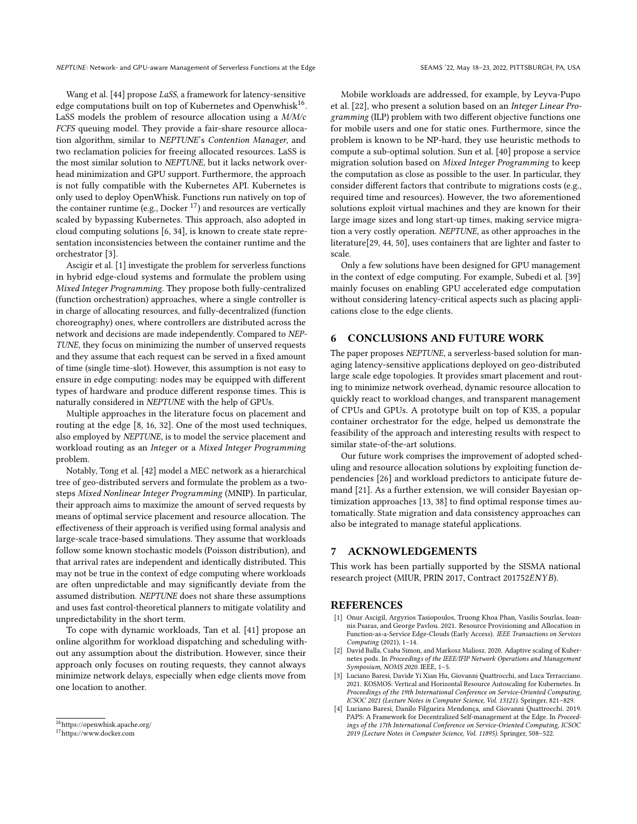Wang et al. [\[44\]](#page-11-11) propose LaSS, a framework for latency-sensitive edge computations built on top of Kubernetes and Openwhisk<sup>[16](#page-10-4)</sup>. LaSS models the problem of resource allocation using a M/M/c FCFS queuing model. They provide a fair-share resource allocation algorithm, similar to NEPTUNE's Contention Manager, and two reclamation policies for freeing allocated resources. LaSS is the most similar solution to NEPTUNE, but it lacks network overhead minimization and GPU support. Furthermore, the approach is not fully compatible with the Kubernetes API. Kubernetes is only used to deploy OpenWhisk. Functions run natively on top of the container runtime (e.g., Docker  $^{17}$  $^{17}$  $^{17}$ ) and resources are vertically scaled by bypassing Kubernetes. This approach, also adopted in cloud computing solutions [\[6,](#page-11-14) [34\]](#page-11-20), is known to create state representation inconsistencies between the container runtime and the orchestrator [\[3\]](#page-10-6).

Ascigir et al. [\[1\]](#page-10-0) investigate the problem for serverless functions in hybrid edge-cloud systems and formulate the problem using Mixed Integer Programming. They propose both fully-centralized (function orchestration) approaches, where a single controller is in charge of allocating resources, and fully-decentralized (function choreography) ones, where controllers are distributed across the network and decisions are made independently. Compared to NEP-TUNE, they focus on minimizing the number of unserved requests and they assume that each request can be served in a fixed amount of time (single time-slot). However, this assumption is not easy to ensure in edge computing: nodes may be equipped with different types of hardware and produce different response times. This is naturally considered in NEPTUNE with the help of GPUs.

Multiple approaches in the literature focus on placement and routing at the edge [\[8,](#page-11-33) [16,](#page-11-34) [32\]](#page-11-12). One of the most used techniques, also employed by NEPTUNE, is to model the service placement and workload routing as an Integer or a Mixed Integer Programming problem.

Notably, Tong et al. [\[42\]](#page-11-35) model a MEC network as a hierarchical tree of geo-distributed servers and formulate the problem as a twosteps Mixed Nonlinear Integer Programming (MNIP). In particular, their approach aims to maximize the amount of served requests by means of optimal service placement and resource allocation. The effectiveness of their approach is verified using formal analysis and large-scale trace-based simulations. They assume that workloads follow some known stochastic models (Poisson distribution), and that arrival rates are independent and identically distributed. This may not be true in the context of edge computing where workloads are often unpredictable and may significantly deviate from the assumed distribution. NEPTUNE does not share these assumptions and uses fast control-theoretical planners to mitigate volatility and unpredictability in the short term.

To cope with dynamic workloads, Tan et al. [\[41\]](#page-11-36) propose an online algorithm for workload dispatching and scheduling without any assumption about the distribution. However, since their approach only focuses on routing requests, they cannot always minimize network delays, especially when edge clients move from one location to another.

Mobile workloads are addressed, for example, by Leyva-Pupo et al. [\[22\]](#page-11-37), who present a solution based on an Integer Linear Programming (ILP) problem with two different objective functions one for mobile users and one for static ones. Furthermore, since the problem is known to be NP-hard, they use heuristic methods to compute a sub-optimal solution. Sun et al. [\[40\]](#page-11-38) propose a service migration solution based on Mixed Integer Programming to keep the computation as close as possible to the user. In particular, they consider different factors that contribute to migrations costs (e.g., required time and resources). However, the two aforementioned solutions exploit virtual machines and they are known for their large image sizes and long start-up times, making service migration a very costly operation. NEPTUNE, as other approaches in the literature[\[29,](#page-11-39) [44,](#page-11-11) [50\]](#page-12-3), uses containers that are lighter and faster to scale.

Only a few solutions have been designed for GPU management in the context of edge computing. For example, Subedi et al. [\[39\]](#page-11-16) mainly focuses on enabling GPU accelerated edge computation without considering latency-critical aspects such as placing applications close to the edge clients.

# <span id="page-10-2"></span>6 CONCLUSIONS AND FUTURE WORK

The paper proposes NEPTUNE, a serverless-based solution for managing latency-sensitive applications deployed on geo-distributed large scale edge topologies. It provides smart placement and routing to minimize network overhead, dynamic resource allocation to quickly react to workload changes, and transparent management of CPUs and GPUs. A prototype built on top of K3S, a popular container orchestrator for the edge, helped us demonstrate the feasibility of the approach and interesting results with respect to similar state-of-the-art solutions.

Our future work comprises the improvement of adopted scheduling and resource allocation solutions by exploiting function dependencies [\[26\]](#page-11-40) and workload predictors to anticipate future demand [\[21\]](#page-11-41). As a further extension, we will consider Bayesian optimization approaches [\[13,](#page-11-42) [38\]](#page-11-43) to find optimal response times automatically. State migration and data consistency approaches can also be integrated to manage stateful applications.

#### 7 ACKNOWLEDGEMENTS

This work has been partially supported by the SISMA national research project (MIUR, PRIN 2017, Contract 201752ENYB).

#### REFERENCES

- <span id="page-10-0"></span>[1] Onur Ascigil, Argyrios Tasiopoulos, Truong Khoa Phan, Vasilis Sourlas, Ioannis Psaras, and George Pavlou. 2021. Resource Provisioning and Allocation in Function-as-a-Service Edge-Clouds (Early Access). IEEE Transactions on Services Computing (2021), 1–14.
- <span id="page-10-3"></span>[2] David Balla, Csaba Simon, and Markosz Maliosz. 2020. Adaptive scaling of Kubernetes pods. In Proceedings of the IEEE/IFIP Network Operations and Management Symposium, NOMS 2020. IEEE, 1–5.
- <span id="page-10-6"></span>[3] Luciano Baresi, Davide Yi Xian Hu, Giovanni Quattrocchi, and Luca Terracciano. 2021. KOSMOS: Vertical and Horizontal Resource Autoscaling for Kubernetes. In Proceedings of the 19th International Conference on Service-Oriented Computing, ICSOC 2021 (Lecture Notes in Computer Science, Vol. 13121). Springer, 821–829.
- <span id="page-10-1"></span>Luciano Baresi, Danilo Filgueira Mendonça, and Giovanni Quattrocchi. 2019. PAPS: A Framework for Decentralized Self-management at the Edge. In Proceedings of the 17th International Conference on Service-Oriented Computing, ICSOC 2019 (Lecture Notes in Computer Science, Vol. 11895). Springer, 508–522.

<span id="page-10-4"></span> $\rm ^{16}$ <https://openwhisk.apache.org/>

<span id="page-10-5"></span><sup>17</sup><https://www.docker.com>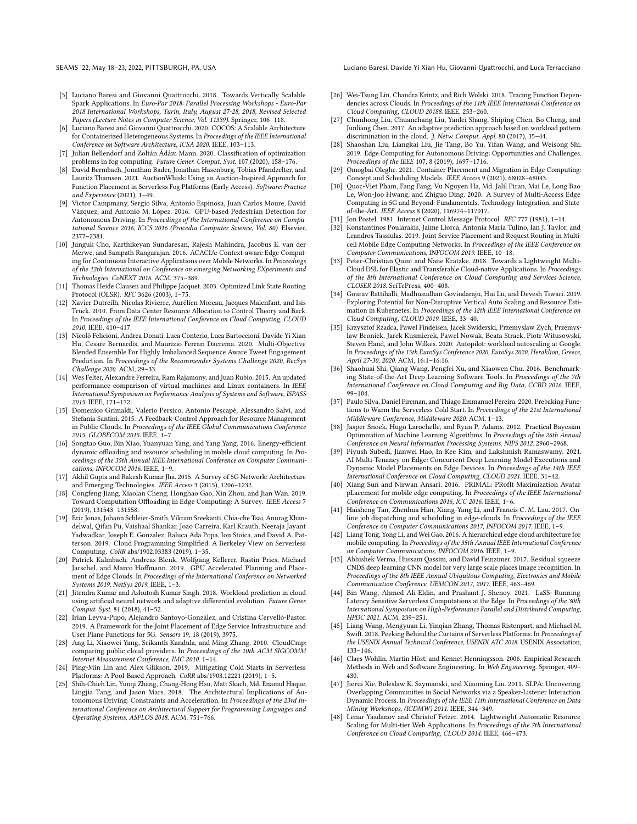SEAMS '22, May 18–23, 2022, PITTSBURGH, PA, USA Luciano Baresi, Davide Yi Xian Hu, Giovanni Quattrocchi, and Luca Terracciano

- <span id="page-11-29"></span>[5] Luciano Baresi and Giovanni Quattrocchi. 2018. Towards Vertically Scalable Spark Applications. In Euro-Par 2018: Parallel Processing Workshops - Euro-Par 2018 International Workshops, Turin, Italy, August 27-28, 2018, Revised Selected Papers (Lecture Notes in Computer Science, Vol. 11339). Springer, 106–118.
- <span id="page-11-14"></span>[6] Luciano Baresi and Giovanni Quattrocchi. 2020. COCOS: A Scalable Architecture for Containerized Heterogeneous Systems. In Proceedings of the IEEE International Conference on Software Architecture, ICSA 2020. IEEE, 103–113.
- <span id="page-11-31"></span>[7] Julian Bellendorf and Zoltán Ádám Mann. 2020. Classification of optimization problems in fog computing. Future Gener. Comput. Syst. 107 (2020), 158-176.
- <span id="page-11-33"></span>[8] David Bermbach, Jonathan Bader, Jonathan Hasenburg, Tobias Pfandzelter, and Lauritz Thamsen. 2021. AuctionWhisk: Using an Auction-Inspired Approach for Function Placement in Serverless Fog Platforms (Early Access). Software: Practice and Experience (2021), 1–49.
- <span id="page-11-13"></span>[9] Victor Campmany, Sergio Silva, Antonio Espinosa, Juan Carlos Moure, David Vázquez, and Antonio M. López. 2016. GPU-based Pedestrian Detection for Autonomous Driving. In Proceedings of the International Conference on Computational Science 2016, ICCS 2016 (Procedia Computer Science, Vol. 80). Elsevier, 2377–2381.
- <span id="page-11-3"></span>[10] Junguk Cho, Karthikeyan Sundaresan, Rajesh Mahindra, Jacobus E. van der Merwe, and Sampath Rangarajan. 2016. ACACIA: Context-aware Edge Computing for Continuous Interactive Applications over Mobile Networks. In Proceedings of the 12th International on Conference on emerging Networking EXperiments and Technologies, CoNEXT 2016. ACM, 375–389.
- <span id="page-11-18"></span>[11] Thomas Heide Clausen and Philippe Jacquet. 2003. Optimized Link State Routing Protocol (OLSR). RFC 3626 (2003), 1–75.
- <span id="page-11-7"></span>[12] Xavier Dutreilh, Nicolas Rivierre, Aurélien Moreau, Jacques Malenfant, and Isis Truck. 2010. From Data Center Resource Allocation to Control Theory and Back. In Proceedings of the IEEE International Conference on Cloud Computing, CLOUD 2010. IEEE, 410–417.
- <span id="page-11-42"></span>[13] Nicolò Felicioni, Andrea Donati, Luca Conterio, Luca Bartoccioni, Davide Yi Xian Hu, Cesare Bernardis, and Maurizio Ferrari Dacrema. 2020. Multi-Objective Blended Ensemble For Highly Imbalanced Sequence Aware Tweet Engagement Prediction. In Proceedings of the Recommender Systems Challenge 2020, RecSys Challenge 2020. ACM, 29–33.
- <span id="page-11-6"></span>[14] Wes Felter, Alexandre Ferreira, Ram Rajamony, and Juan Rubio. 2015. An updated performance comparison of virtual machines and Linux containers. In IEEE International Symposium on Performance Analysis of Systems and Software, ISPASS 2015. IEEE, 171–172.
- <span id="page-11-24"></span>[15] Domenico Grimaldi, Valerio Persico, Antonio Pescapè, Alessandro Salvi, and Stefania Santini. 2015. A Feedback-Control Approach for Resource Management in Public Clouds. In Proceedings of the IEEE Global Communications Conference 2015, GLOBECOM 2015. IEEE, 1–7.
- <span id="page-11-34"></span>[16] Songtao Guo, Bin Xiao, Yuanyuan Yang, and Yang Yang. 2016. Energy-efficient dynamic offloading and resource scheduling in mobile cloud computing. In Proceedings of the 35th Annual IEEE International Conference on Computer Communications, INFOCOM 2016. IEEE, 1–9.
- <span id="page-11-1"></span>[17] Akhil Gupta and Rakesh Kumar Jha. 2015. A Survey of 5G Network: Architecture and Emerging Technologies. IEEE Access 3 (2015), 1206–1232.
- <span id="page-11-32"></span>[18] Congfeng Jiang, Xiaolan Cheng, Honghao Gao, Xin Zhou, and Jian Wan. 2019. Toward Computation Offloading in Edge Computing: A Survey. IEEE Access 7 (2019), 131543–131558.
- <span id="page-11-17"></span>[19] Eric Jonas, Johann Schleier-Smith, Vikram Sreekanti, Chia-che Tsai, Anurag Khandelwal, Qifan Pu, Vaishaal Shankar, Joao Carreira, Karl Krauth, Neeraja Jayant Yadwadkar, Joseph E. Gonzalez, Raluca Ada Popa, Ion Stoica, and David A. Patterson. 2019. Cloud Programming Simplified: A Berkeley View on Serverless Computing. CoRR abs/1902.03383 (2019), 1–35.
- <span id="page-11-15"></span>[20] Patrick Kalmbach, Andreas Blenk, Wolfgang Kellerer, Rastin Pries, Michael Jarschel, and Marco Hoffmann. 2019. GPU Accelerated Planning and Placement of Edge Clouds. In Proceedings of the International Conference on Networked Systems 2019, NetSys 2019. IEEE, 1–3.
- <span id="page-11-41"></span>[21] Jitendra Kumar and Ashutosh Kumar Singh. 2018. Workload prediction in cloud using artificial neural network and adaptive differential evolution. Future Gener. Comput. Syst. 81 (2018), 41–52.
- <span id="page-11-37"></span>[22] Irian Leyva-Pupo, Alejandro Santoyo-González, and Cristina Cervelló-Pastor. 2019. A Framework for the Joint Placement of Edge Service Infrastructure and User Plane Functions for 5G. Sensors 19, 18 (2019), 3975.
- <span id="page-11-4"></span>[23] Ang Li, Xiaowei Yang, Srikanth Kandula, and Ming Zhang. 2010. CloudCmp: comparing public cloud providers. In Proceedings of the 10th ACM SIGCOMM Internet Measurement Conference, IMC 2010. 1–14.
- <span id="page-11-22"></span>[24] Ping-Min Lin and Alex Glikson. 2019. Mitigating Cold Starts in Serverless Platforms: A Pool-Based Approach. CoRR abs/1903.12221 (2019), 1–5.
- <span id="page-11-5"></span>[25] Shih-Chieh Lin, Yunqi Zhang, Chang-Hong Hsu, Matt Skach, Md. Enamul Haque, Lingjia Tang, and Jason Mars. 2018. The Architectural Implications of Autonomous Driving: Constraints and Acceleration. In Proceedings of the 23rd International Conference on Architectural Support for Programming Languages and Operating Systems, ASPLOS 2018. ACM, 751–766.
- <span id="page-11-40"></span>[26] Wei-Tsung Lin, Chandra Krintz, and Rich Wolski. 2018. Tracing Function Dependencies across Clouds. In Proceedings of the 11th IEEE International Conference on Cloud Computing, CLOUD 20188. IEEE, 253–260.
- <span id="page-11-9"></span>[27] Chunhong Liu, Chuanchang Liu, Yanlei Shang, Shiping Chen, Bo Cheng, and Junliang Chen. 2017. An adaptive prediction approach based on workload pattern discrimination in the cloud. J. Netw. Comput. Appl. 80 (2017), 35-44.
- <span id="page-11-2"></span>[28] Shaoshan Liu, Liangkai Liu, Jie Tang, Bo Yu, Yifan Wang, and Weisong Shi. 2019. Edge Computing for Autonomous Driving: Opportunities and Challenges. Proceedings of the IEEE 107, 8 (2019), 1697–1716.
- <span id="page-11-39"></span>[29] Omogbai Oleghe. 2021. Container Placement and Migration in Edge Computing: Concept and Scheduling Models. IEEE Access 9 (2021), 68028–68043.
- <span id="page-11-0"></span>[30] Quoc-Viet Pham, Fang Fang, Vu Nguyen Ha, Md. Jalil Piran, Mai Le, Long Bao Le, Won-Joo Hwang, and Zhiguo Ding. 2020. A Survey of Multi-Access Edge Computing in 5G and Beyond: Fundamentals, Technology Integration, and Stateof-the-Art. IEEE Access 8 (2020), 116974–117017.
- <span id="page-11-25"></span>[31] Jon Postel. 1981. Internet Control Message Protocol. RFC 777 (1981), 1–14.
- <span id="page-11-12"></span>[32] Konstantinos Poularakis, Jaime Llorca, Antonia Maria Tulino, Ian J. Taylor, and Leandros Tassiulas. 2019. Joint Service Placement and Request Routing in Multicell Mobile Edge Computing Networks. In Proceedings of the IEEE Conference on Computer Communications, INFOCOM 2019. IEEE, 10–18.
- <span id="page-11-26"></span>[33] Peter-Christian Quint and Nane Kratzke. 2018. Towards a Lightweight Multi-Cloud DSL for Elastic and Transferable Cloud-native Applications. In Proceedings of the 8th International Conference on Cloud Computing and Services Science, CLOSER 2018. SciTePress, 400–408.
- <span id="page-11-20"></span>[34] Gourav Rattihalli, Madhusudhan Govindaraju, Hui Lu, and Devesh Tiwari. 2019. Exploring Potential for Non-Disruptive Vertical Auto Scaling and Resource Estimation in Kubernetes. In Proceedings of the 12th IEEE International Conference on Cloud Computing, CLOUD 2019. IEEE, 33–40.
- <span id="page-11-10"></span>[35] Krzysztof Rzadca, Pawel Findeisen, Jacek Swiderski, Przemyslaw Zych, Przemyslaw Broniek, Jarek Kusmierek, Pawel Nowak, Beata Strack, Piotr Witusowski, Steven Hand, and John Wilkes. 2020. Autopilot: workload autoscaling at Google. In Proceedings of the 15th EuroSys Conference 2020, EuroSys 2020, Heraklion, Greece, April 27-30, 2020. ACM, 16:1–16:16.
- <span id="page-11-27"></span>[36] Shaohuai Shi, Qiang Wang, Pengfei Xu, and Xiaowen Chu. 2016. Benchmarking State-of-the-Art Deep Learning Software Tools. In Proceedings of the 7th International Conference on Cloud Computing and Big Data, CCBD 2016. IEEE, 99–104.
- <span id="page-11-23"></span>[37] Paulo Silva, Daniel Fireman, and Thiago Emmanuel Pereira. 2020. Prebaking Functions to Warm the Serverless Cold Start. In Proceedings of the 21st International Middleware Conference, Middleware 2020. ACM, 1–13.
- <span id="page-11-43"></span>[38] Jasper Snoek, Hugo Larochelle, and Ryan P. Adams. 2012. Practical Bayesian Optimization of Machine Learning Algorithms. In Proceedings of the 26th Annual Conference on Neural Information Processing Systems. NIPS 2012. 2960–2968.
- <span id="page-11-16"></span>[39] Piyush Subedi, Jianwei Hao, In Kee Kim, and Lakshmish Ramaswamy. 2021. AI Multi-Tenancy on Edge: Concurrent Deep Learning Model Executions and Dynamic Model Placements on Edge Devices. In Proceedings of the 14th IEEE International Conference on Cloud Computing, CLOUD 2021. IEEE, 31–42.
- <span id="page-11-38"></span>[40] Xiang Sun and Nirwan Ansari. 2016. PRIMAL: PRofIt Maximization Avatar pLacement for mobile edge computing. In Proceedings of the IEEE International Conference on Communications 2016, ICC 2016. IEEE, 1–6.
- <span id="page-11-36"></span>[41] Haisheng Tan, Zhenhua Han, Xiang-Yang Li, and Francis C. M. Lau. 2017. Online job dispatching and scheduling in edge-clouds. In Proceedings of the IEEE Conference on Computer Communications 2017, INFOCOM 2017. IEEE, 1–9.
- <span id="page-11-35"></span>[42] Liang Tong, Yong Li, and Wei Gao. 2016. A hierarchical edge cloud architecture for mobile computing. In Proceedings of the 35th Annual IEEE International Conference on Computer Communications, INFOCOM 2016. IEEE, 1–9.
- <span id="page-11-28"></span>[43] Abhishek Verma, Hussam Qassim, and David Feinzimer. 2017. Residual squeeze CNDS deep learning CNN model for very large scale places image recognition. In Proceedings of the 8th IEEE Annual Ubiquitous Computing, Electronics and Mobile Communication Conference, UEMCON 2017, 2017. IEEE, 463–469.
- <span id="page-11-11"></span>[44] Bin Wang, Ahmed Ali-Eldin, and Prashant J. Shenoy. 2021. LaSS: Running Latency Sensitive Serverless Computations at the Edge. In Proceedings of the 30th International Symposium on High-Performance Parallel and Distributed Computing, HPDC 2021. ACM, 239–251.
- <span id="page-11-21"></span>[45] Liang Wang, Mengyuan Li, Yinqian Zhang, Thomas Ristenpart, and Michael M. Swift. 2018. Peeking Behind the Curtains of Serverless Platforms. In Proceedings of the USENIX Annual Technical Conference, USENIX ATC 2018. USENIX Association, 133–146.
- <span id="page-11-30"></span>[46] Claes Wohlin, Martin Höst, and Kennet Henningsson. 2006. Empirical Research Methods in Web and Software Engineering. In Web Engineering. Springer, 409– 430.
- <span id="page-11-19"></span>[47] Jierui Xie, Boleslaw K. Szymanski, and Xiaoming Liu. 2011. SLPA: Uncovering Overlapping Communities in Social Networks via a Speaker-Listener Interaction Dynamic Process. In Proceedings of the IEEE 11th International Conference on Data Mining Workshops, (ICDMW) 2011. IEEE, 344–349.
- <span id="page-11-8"></span>[48] Lenar Yazdanov and Christof Fetzer. 2014. Lightweight Automatic Resource Scaling for Multi-tier Web Applications. In Proceedings of the 7th International Conference on Cloud Computing, CLOUD 2014. IEEE, 466–473.